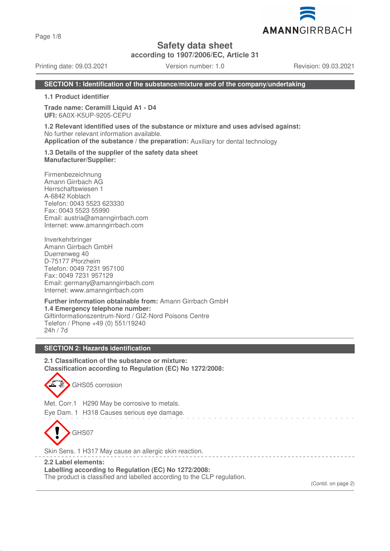Page 1/8

**Safety data sheet**

**according to 1907/2006/EC, Article 31**

Printing date: 09.03.2021 Version number: 1.0 Revision: 09.03.2021

### **SECTION 1: Identification of the substance/mixture and of the company/undertaking**

**1.1 Product identifier**

**Trade name: Ceramill Liquid A1 - D4 UFI:** 6A0X-K5UP-9205-CEPU

**1.2 Relevant identified uses of the substance or mixture and uses advised against:** No further relevant information available. **Application of the substance / the preparation:** Auxiliary for dental technology

**1.3 Details of the supplier of the safety data sheet Manufacturer/Supplier:**

Firmenbezeichnung Amann Girrbach AG Herrschaftswiesen 1 A-6842 Koblach Telefon: 0043 5523 623330 Fax: 0043 5523 55990 Email: austria@amanngirrbach.com Internet: www.amanngirrbach.com

Inverkehrbringer Amann Girrbach GmbH Duerrenweg 40 D-75177 Pforzheim Telefon: 0049 7231 957100 Fax: 0049 7231 957129 Email: germany@amanngirrbach.com Internet: www.amanngirrbach.com

**Further information obtainable from:** Amann Girrbach GmbH **1.4 Emergency telephone number:** Giftinformationszentrum-Nord / GIZ-Nord Poisons Centre Telefon / Phone +49 (0) 551/19240 24h / 7d

### **SECTION 2: Hazards identification**

**2.1 Classification of the substance or mixture: Classification according to Regulation (EC) No 1272/2008:**



GHS05 corrosion

Met. Corr.1 H290 May be corrosive to metals.

Eye Dam. 1 H318 Causes serious eye damage.



Skin Sens. 1 H317 May cause an allergic skin reaction.

**2.2 Label elements:**

**Labelling according to Regulation (EC) No 1272/2008:**

The product is classified and labelled according to the CLP regulation.

(Contd. on page 2)

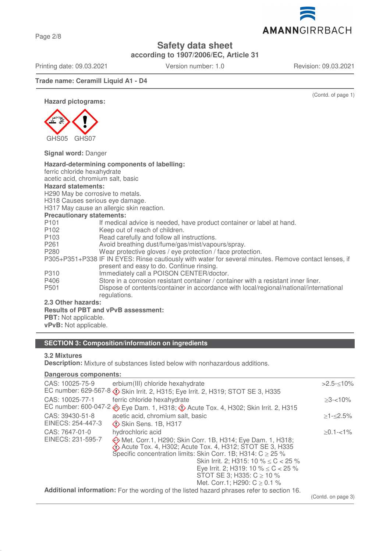**according to 1907/2006/EC, Article 31**

Printing date: 09.03.2021 Version number: 1.0 Revision: 09.03.2021

## **Trade name: Ceramill Liquid A1 - D4**

**Hazard pictograms:**



**Signal word:** Danger

| Hazard-determining components of labelling:                                                           |                                                                                        |  |  |
|-------------------------------------------------------------------------------------------------------|----------------------------------------------------------------------------------------|--|--|
| ferric chloride hexahydrate                                                                           |                                                                                        |  |  |
| acetic acid, chromium salt, basic                                                                     |                                                                                        |  |  |
| <b>Hazard statements:</b>                                                                             |                                                                                        |  |  |
| H290 May be corrosive to metals.                                                                      |                                                                                        |  |  |
| H318 Causes serious eye damage.                                                                       |                                                                                        |  |  |
| H317 May cause an allergic skin reaction.                                                             |                                                                                        |  |  |
| <b>Precautionary statements:</b>                                                                      |                                                                                        |  |  |
| P <sub>101</sub>                                                                                      | If medical advice is needed, have product container or label at hand.                  |  |  |
| P <sub>102</sub>                                                                                      | Keep out of reach of children.                                                         |  |  |
| P <sub>103</sub>                                                                                      | Read carefully and follow all instructions.                                            |  |  |
| P <sub>261</sub>                                                                                      | Avoid breathing dust/fume/gas/mist/vapours/spray.                                      |  |  |
| P280                                                                                                  | Wear protective gloves / eye protection / face protection.                             |  |  |
| P305+P351+P338 IF IN EYES: Rinse cautiously with water for several minutes. Remove contact lenses, if |                                                                                        |  |  |
|                                                                                                       | present and easy to do. Continue rinsing.                                              |  |  |
| P310                                                                                                  | Immediately call a POISON CENTER/doctor.                                               |  |  |
| P406                                                                                                  | Store in a corrosion resistant container / container with a resistant inner liner.     |  |  |
| P <sub>501</sub>                                                                                      | Dispose of contents/container in accordance with local/regional/national/international |  |  |
|                                                                                                       | regulations.                                                                           |  |  |
| 2.3 Other hazards:                                                                                    |                                                                                        |  |  |
| <b>Results of PBT and vPvB assessment:</b>                                                            |                                                                                        |  |  |
| <b>PBT:</b> Not applicable.                                                                           |                                                                                        |  |  |
| vPvB: Not applicable.                                                                                 |                                                                                        |  |  |

# **SECTION 3: Composition/information on ingredients**

## **3.2 Mixtures**

**Description:** Mixture of substances listed below with nonhazardous additions.

#### **Dangerous components:**

| CAS: 10025-75-9                                                                           | erbium(III) chloride hexahydrate<br>EC number: 629-567-8 $\circled{}$ Skin Irrit. 2, H315; Eye Irrit. 2, H319; STOT SE 3, H335                                                                                                                                                                                                                                                               | $>2.5 - 10\%$ |
|-------------------------------------------------------------------------------------------|----------------------------------------------------------------------------------------------------------------------------------------------------------------------------------------------------------------------------------------------------------------------------------------------------------------------------------------------------------------------------------------------|---------------|
| CAS: 10025-77-1                                                                           | ferric chloride hexahydrate<br>EC number: 600-047-2 Seye Dam. 1, H318; $\Diamond$ Acute Tox. 4, H302; Skin Irrit. 2, H315                                                                                                                                                                                                                                                                    | $>3 - 10\%$   |
| CAS: 39430-51-8<br>EINECS: 254-447-3                                                      | acetic acid, chromium salt, basic<br>Skin Sens. 1B, H317                                                                                                                                                                                                                                                                                                                                     | $>1 - 2.5\%$  |
| CAS: 7647-01-0<br>EINECS: 231-595-7                                                       | hydrochloric acid<br>Met. Corr.1, H290; Skin Corr. 1B, H314; Eye Dam. 1, H318;<br>$\bigotimes$ Acute Tox. 4, H302; Acute Tox. 4, H312; STOT SE 3, H335<br>Specific concentration limits: Skin Corr. 1B; H314: $C \ge 25$ %<br>Skin Irrit. 2; H315: 10 % $\leq$ C $<$ 25 %<br>Eye Irrit. 2; H319: 10 % $\leq$ C $<$ 25 %<br>STOT SE 3; H335: $C \ge 10$ %<br>Met. Corr.1; H290: $C \ge 0.1$ % | $>0.1 - 1\%$  |
| Additional information: For the wording of the listed hazard phrases refer to section 16. | (Contd. on page 3)                                                                                                                                                                                                                                                                                                                                                                           |               |
|                                                                                           |                                                                                                                                                                                                                                                                                                                                                                                              |               |

(Contd. of page 1)

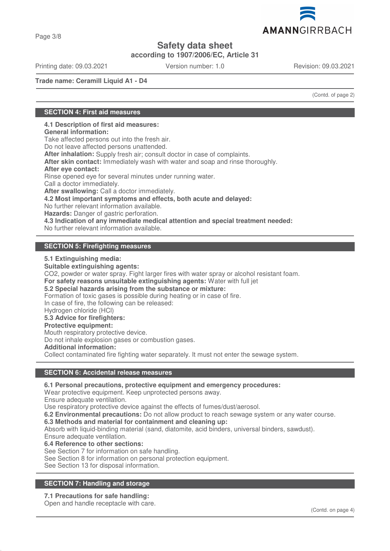**according to 1907/2006/EC, Article 31**

Printing date: 09.03.2021 Version number: 1.0 Revision: 09.03.2021

**Trade name: Ceramill Liquid A1 - D4**

(Contd. of page 2)

## **SECTION 4: First aid measures**

**4.1 Description of first aid measures:**

**General information:**

Take affected persons out into the fresh air.

Do not leave affected persons unattended.

**After inhalation:** Supply fresh air; consult doctor in case of complaints.

**After skin contact:** Immediately wash with water and soap and rinse thoroughly.

#### **After eye contact:**

Rinse opened eye for several minutes under running water.

Call a doctor immediately.

**After swallowing:** Call a doctor immediately.

**4.2 Most important symptoms and effects, both acute and delayed:**

No further relevant information available.

**Hazards:** Danger of gastric perforation.

**4.3 Indication of any immediate medical attention and special treatment needed:**

No further relevant information available.

## **SECTION 5: Firefighting measures**

### **5.1 Extinguishing media:**

**Suitable extinguishing agents:** CO2, powder or water spray. Fight larger fires with water spray or alcohol resistant foam. **For safety reasons unsuitable extinguishing agents:** Water with full jet **5.2 Special hazards arising from the substance or mixture:** Formation of toxic gases is possible during heating or in case of fire. In case of fire, the following can be released: Hydrogen chloride (HCl) **5.3 Advice for firefighters: Protective equipment:** Mouth respiratory protective device. Do not inhale explosion gases or combustion gases. **Additional information:**

Collect contaminated fire fighting water separately. It must not enter the sewage system.

### **SECTION 6: Accidental release measures**

### **6.1 Personal precautions, protective equipment and emergency procedures:**

Wear protective equipment. Keep unprotected persons away.

Ensure adequate ventilation.

Use respiratory protective device against the effects of fumes/dust/aerosol.

**6.2 Environmental precautions:** Do not allow product to reach sewage system or any water course.

### **6.3 Methods and material for containment and cleaning up:**

Absorb with liquid-binding material (sand, diatomite, acid binders, universal binders, sawdust).

Ensure adequate ventilation.

**6.4 Reference to other sections:**

See Section 7 for information on safe handling.

See Section 8 for information on personal protection equipment.

See Section 13 for disposal information.

## **SECTION 7: Handling and storage**

## **7.1 Precautions for safe handling:**

Open and handle receptacle with care.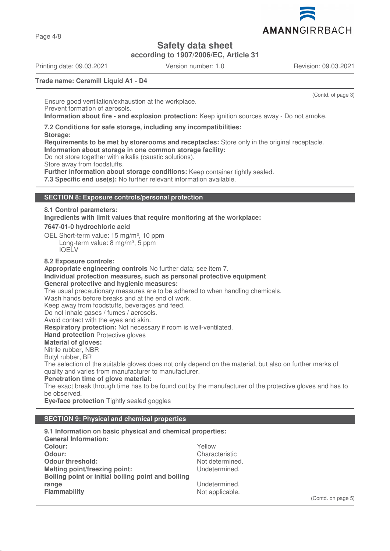

**according to 1907/2006/EC, Article 31**

Printing date: 09.03.2021 Version number: 1.0 Revision: 09.03.2021

Page 4/8

(Contd. of page 3)

### **Trade name: Ceramill Liquid A1 - D4**

Ensure good ventilation/exhaustion at the workplace. Prevent formation of aerosols. **Information about fire - and explosion protection:** Keep ignition sources away - Do not smoke.

**7.2 Conditions for safe storage, including any incompatibilities:**

**Storage:**

**Requirements to be met by storerooms and receptacles:** Store only in the original receptacle. **Information about storage in one common storage facility:**

Do not store together with alkalis (caustic solutions).

Store away from foodstuffs.

**Further information about storage conditions:** Keep container tightly sealed.

**7.3 Specific end use(s):** No further relevant information available.

### **SECTION 8: Exposure controls/personal protection**

## **8.1 Control parameters: Ingredients with limit values that require monitoring at the workplace: 7647-01-0 hydrochloric acid**

OEL Short-term value: 15 mg/m<sup>3</sup>, 10 ppm Long-term value: 8 mg/m<sup>3</sup>, 5 ppm IOELV

**8.2 Exposure controls:**

**Appropriate engineering controls** No further data; see item 7.

#### **Individual protection measures, such as personal protective equipment General protective and hygienic measures:**

The usual precautionary measures are to be adhered to when handling chemicals.

Wash hands before breaks and at the end of work.

Keep away from foodstuffs, beverages and feed.

Do not inhale gases / fumes / aerosols.

Avoid contact with the eyes and skin.

**Respiratory protection:** Not necessary if room is well-ventilated.

**Hand protection** Protective gloves

**Material of gloves:**

Nitrile rubber, NBR

Butyl rubber, BR

The selection of the suitable gloves does not only depend on the material, but also on further marks of quality and varies from manufacturer to manufacturer.

**Penetration time of glove material:**

The exact break through time has to be found out by the manufacturer of the protective gloves and has to be observed.

**Eye/face protection** Tightly sealed goggles

## **SECTION 9: Physical and chemical properties**

**9.1 Information on basic physical and chemical properties: General Information: Colour:** Yellow **Odour:** Characteristic Characteristic Characteristic Characteristic Characteristic Characteristic Characteristic Characteristic Characteristic Characteristic Characteristic Characteristic Characteristic Characteristic Cha **Odour threshold:**<br> **Melting point/freezing point:**<br>
Melting point/freezing point:<br>
Melting point/freezing point:<br>
Melting point/freezing point: **Melting point/freezing point: Boiling point or initial boiling point and boiling range** Undetermined.<br> **Flammability** Contract Contract Contract Contract Contract Contract Contract Contract Contract Contract Contra<br>
Not applicable. Not applicable.

(Contd. on page 5)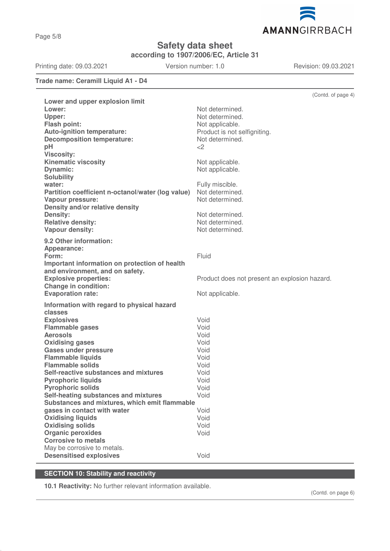

**according to 1907/2006/EC, Article 31**

Printing date: 09.03.2021 Version number: 1.0 Revision: 09.03.2021

## **Trade name: Ceramill Liquid A1 - D4**

|                                                   | (Contd. of page 4)                            |
|---------------------------------------------------|-----------------------------------------------|
| Lower and upper explosion limit                   |                                               |
| Lower:                                            | Not determined.                               |
| Upper:                                            | Not determined.                               |
| <b>Flash point:</b>                               | Not applicable.                               |
| Auto-ignition temperature:                        | Product is not selfigniting.                  |
| <b>Decomposition temperature:</b>                 | Not determined.                               |
| pH                                                | $<$ 2                                         |
| <b>Viscosity:</b>                                 |                                               |
| <b>Kinematic viscosity</b>                        | Not applicable.                               |
| Dynamic:                                          | Not applicable.                               |
| <b>Solubility</b>                                 |                                               |
| water:                                            | Fully miscible.                               |
| Partition coefficient n-octanol/water (log value) | Not determined.                               |
| <b>Vapour pressure:</b>                           | Not determined.                               |
| Density and/or relative density                   |                                               |
| <b>Density:</b>                                   | Not determined.                               |
| <b>Relative density:</b>                          | Not determined.                               |
| Vapour density:                                   | Not determined.                               |
| 9.2 Other information:                            |                                               |
| Appearance:                                       |                                               |
| Form:                                             | Fluid                                         |
| Important information on protection of health     |                                               |
| and environment, and on safety.                   |                                               |
| <b>Explosive properties:</b>                      | Product does not present an explosion hazard. |
| <b>Change in condition:</b>                       |                                               |
| <b>Evaporation rate:</b>                          | Not applicable.                               |
| Information with regard to physical hazard        |                                               |
| classes                                           |                                               |
| <b>Explosives</b>                                 | Void                                          |
| <b>Flammable gases</b>                            | Void                                          |
| <b>Aerosols</b>                                   | Void                                          |
| <b>Oxidising gases</b>                            | Void                                          |
| <b>Gases under pressure</b>                       | Void                                          |
| <b>Flammable liquids</b>                          | Void                                          |
| <b>Flammable solids</b>                           | Void                                          |
| Self-reactive substances and mixtures             | Void                                          |
| <b>Pyrophoric liquids</b>                         | Void                                          |
| <b>Pyrophoric solids</b>                          | Void                                          |
| Self-heating substances and mixtures              | Void                                          |
| Substances and mixtures, which emit flammable     |                                               |
| gases in contact with water                       | Void                                          |
| <b>Oxidising liquids</b>                          | Void                                          |
| <b>Oxidising solids</b>                           | Void                                          |
| <b>Organic peroxides</b>                          | Void                                          |
| <b>Corrosive to metals</b>                        |                                               |
| May be corrosive to metals.                       |                                               |
| <b>Desensitised explosives</b>                    | Void                                          |

## **SECTION 10: Stability and reactivity**

**10.1 Reactivity:** No further relevant information available.

(Contd. on page 6)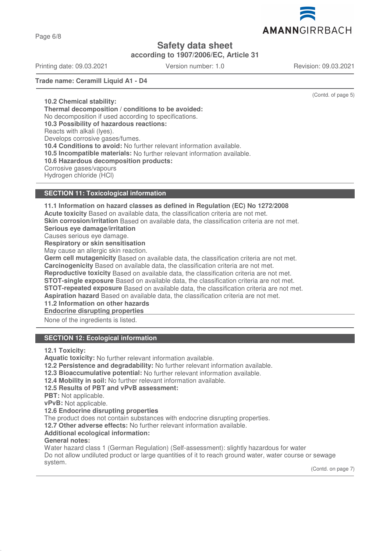

**according to 1907/2006/EC, Article 31**

Printing date: 09.03.2021 Version number: 1.0 Revision: 09.03.2021

**Trade name: Ceramill Liquid A1 - D4**

(Contd. of page 5)

**10.2 Chemical stability: Thermal decomposition / conditions to be avoided:** No decomposition if used according to specifications. **10.3 Possibility of hazardous reactions:** Reacts with alkali (lyes). Develops corrosive gases/fumes. **10.4 Conditions to avoid:** No further relevant information available. **10.5 Incompatible materials:** No further relevant information available. **10.6 Hazardous decomposition products:** Corrosive gases/vapours Hydrogen chloride (HCl)

## **SECTION 11: Toxicological information**

**11.1 Information on hazard classes as defined in Regulation (EC) No 1272/2008 Acute toxicity** Based on available data, the classification criteria are not met. **Skin corrosion/irritation** Based on available data, the classification criteria are not met. **Serious eye damage/irritation** Causes serious eye damage. **Respiratory or skin sensitisation** May cause an allergic skin reaction. **Germ cell mutagenicity** Based on available data, the classification criteria are not met. **Carcinogenicity** Based on available data, the classification criteria are not met. **Reproductive toxicity** Based on available data, the classification criteria are not met. **STOT-single exposure** Based on available data, the classification criteria are not met. **STOT-repeated exposure** Based on available data, the classification criteria are not met. **Aspiration hazard** Based on available data, the classification criteria are not met. **11.2 Information on other hazards Endocrine disrupting properties**  None of the ingredients is listed. **SECTION 12: Ecological information**

**12.1 Toxicity:**

**Aquatic toxicity:** No further relevant information available.

- **12.2 Persistence and degradability:** No further relevant information available.
- **12.3 Bioaccumulative potential:** No further relevant information available.
- **12.4 Mobility in soil:** No further relevant information available.
- **12.5 Results of PBT and vPvB assessment:**
- **PBT:** Not applicable.

**vPvB:** Not applicable.

**12.6 Endocrine disrupting properties**

The product does not contain substances with endocrine disrupting properties.

**12.7 Other adverse effects:** No further relevant information available.

**Additional ecological information:**

### **General notes:**

Water hazard class 1 (German Regulation) (Self-assessment): slightly hazardous for water Do not allow undiluted product or large quantities of it to reach ground water, water course or sewage system.

(Contd. on page 7)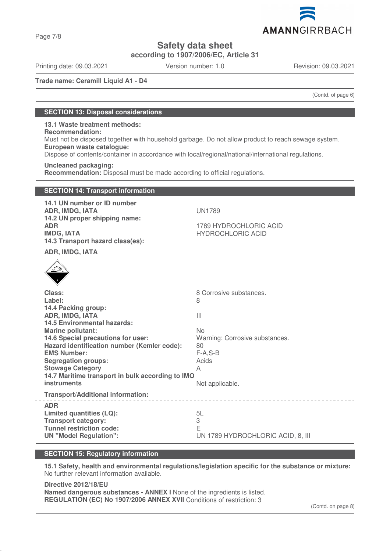**according to 1907/2006/EC, Article 31**

Printing date: 09.03.2021 Version number: 1.0 Revision: 09.03.2021

**Trade name: Ceramill Liquid A1 - D4**

(Contd. of page 6)

## **SECTION 13: Disposal considerations**

**13.1 Waste treatment methods: Recommendation:** Must not be disposed together with household garbage. Do not allow product to reach sewage system. **European waste catalogue:**

Dispose of contents/container in accordance with local/regional/national/international regulations.

**Uncleaned packaging:**

**Recommendation:** Disposal must be made according to official regulations.

## **SECTION 14: Transport information 14.1 UN number or ID number ADR, IMDG, IATA** UN1789 **14.2 UN proper shipping name: ADR** 1789 HYDROCHLORIC ACID **IMDG. IATA** And the state of the state of the HYDROCHLORIC ACID **14.3 Transport hazard class(es): ADR, IMDG, IATA Class:** 8 Corrosive substances. Label: 8 **14.4 Packing group: ADR, IMDG, IATA** III **14.5 Environmental hazards: Marine pollutant:** No **14.6 Special precautions for user:** Warning: Corrosive substances. **Hazard identification number (Kemler code):** 80 **EMS Number:** F-A,S-B **Segregation groups:** Acids **Stowage Category** A **14.7 Maritime transport in bulk according to IMO instruments** Not applicable. **Transport/Additional information: ADR Limited quantities (LQ):** 5L **Transport category:** 3 **Tunnel restriction code:** E **UN "Model Regulation":** UN 1789 HYDROCHLORIC ACID, 8, III

## **SECTION 15: Regulatory information**

**15.1 Safety, health and environmental regulations/legislation specific for the substance or mixture:** No further relevant information available.

**Directive 2012/18/EU Named dangerous substances - ANNEX I** None of the ingredients is listed. **REGULATION (EC) No 1907/2006 ANNEX XVII** Conditions of restriction: 3